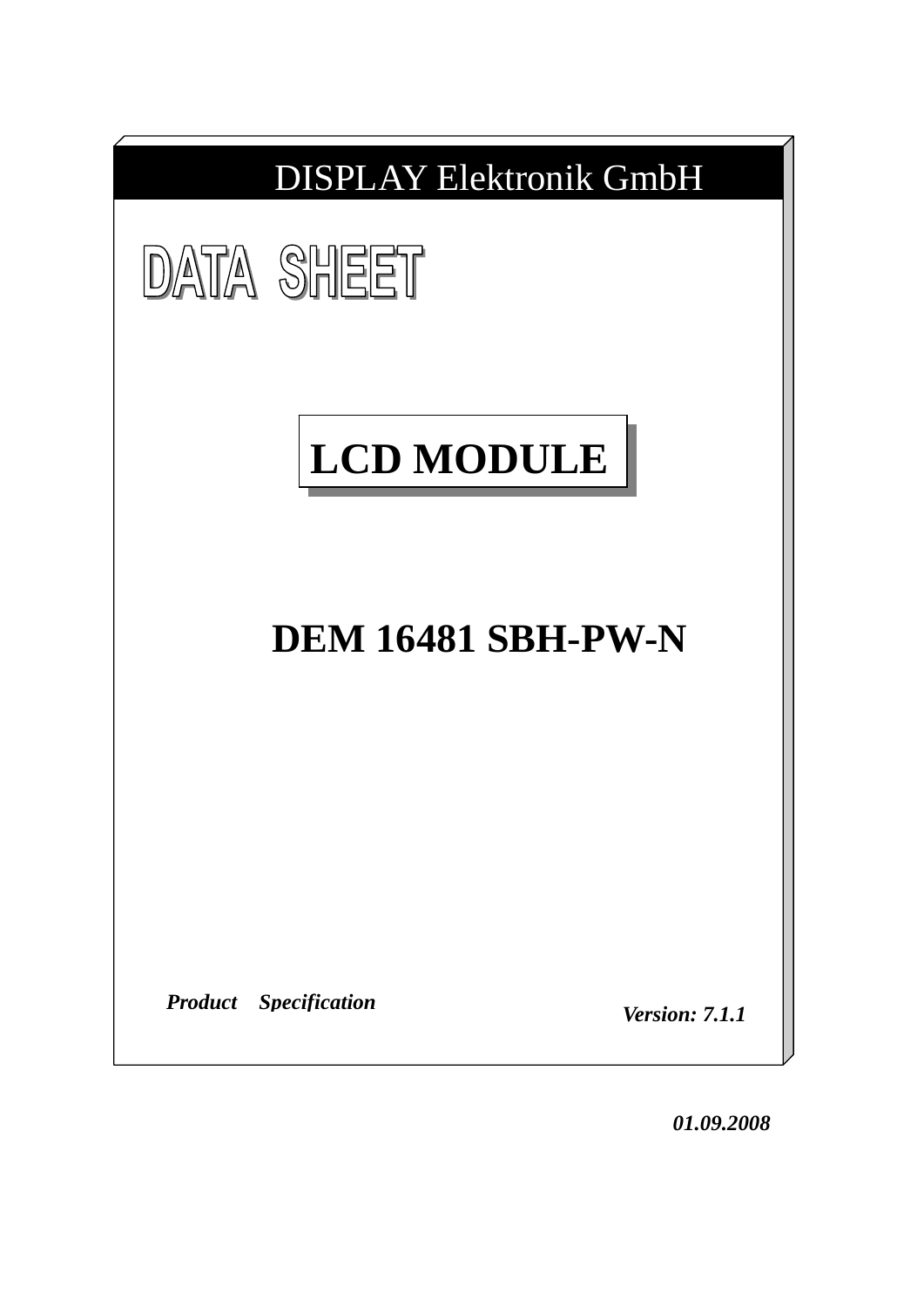

*01.09.2008*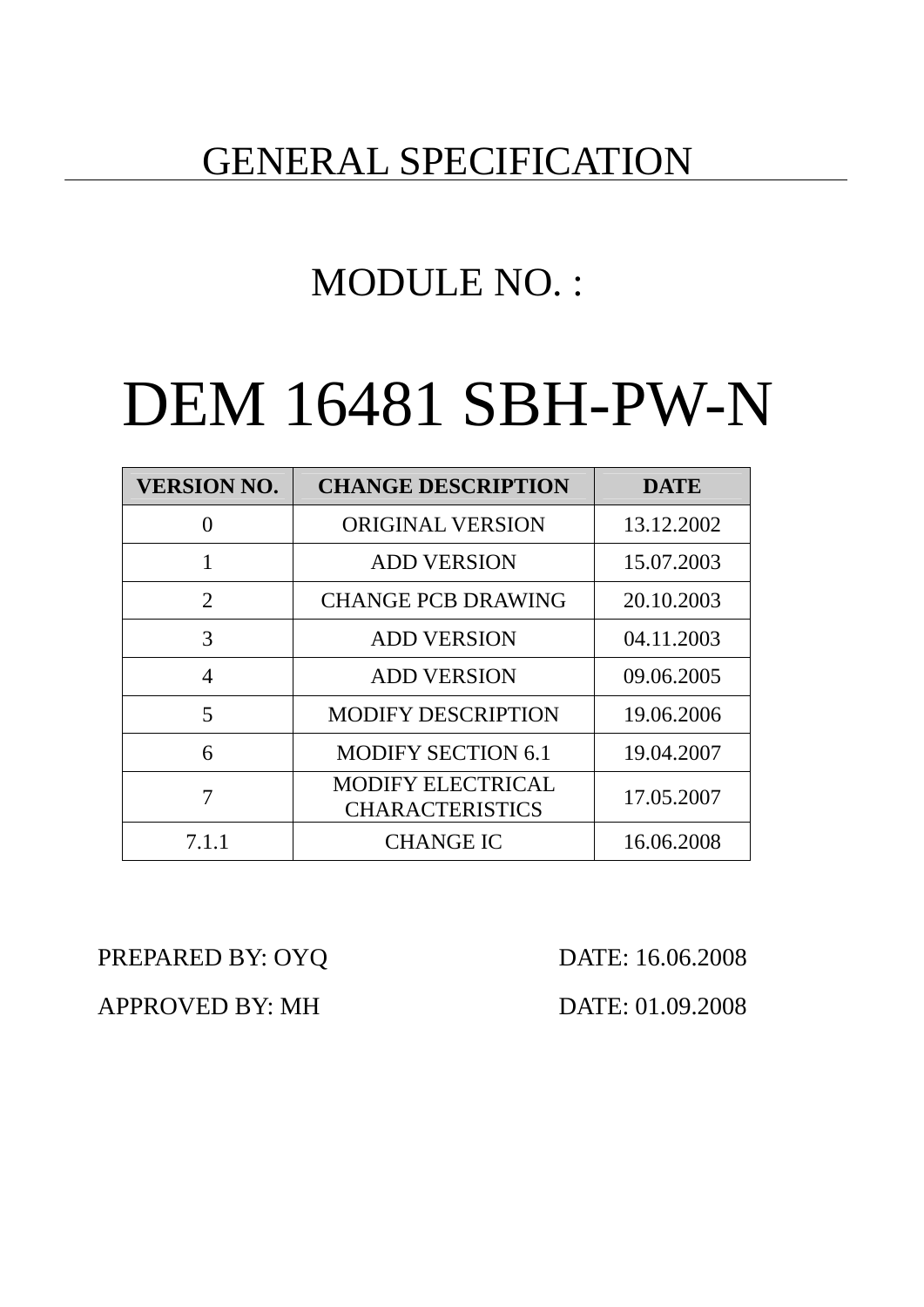# GENERAL SPECIFICATION

# MODULE NO. :

# DEM 16481 SBH-PW-N

| <b>VERSION NO.</b> | <b>CHANGE DESCRIPTION</b>                          | <b>DATE</b> |
|--------------------|----------------------------------------------------|-------------|
|                    | <b>ORIGINAL VERSION</b>                            | 13.12.2002  |
|                    | <b>ADD VERSION</b>                                 | 15.07.2003  |
| 2                  | <b>CHANGE PCB DRAWING</b>                          | 20.10.2003  |
| 3                  | <b>ADD VERSION</b>                                 | 04.11.2003  |
| 4                  | <b>ADD VERSION</b>                                 | 09.06.2005  |
| 5                  | <b>MODIFY DESCRIPTION</b>                          | 19.06.2006  |
| 6                  | <b>MODIFY SECTION 6.1</b>                          | 19.04.2007  |
|                    | <b>MODIFY ELECTRICAL</b><br><b>CHARACTERISTICS</b> | 17.05.2007  |
| 7.1.1              | <b>CHANGE IC</b>                                   | 16.06.2008  |

PREPARED BY: OYQ DATE: 16.06.2008

APPROVED BY: MH DATE: 01.09.2008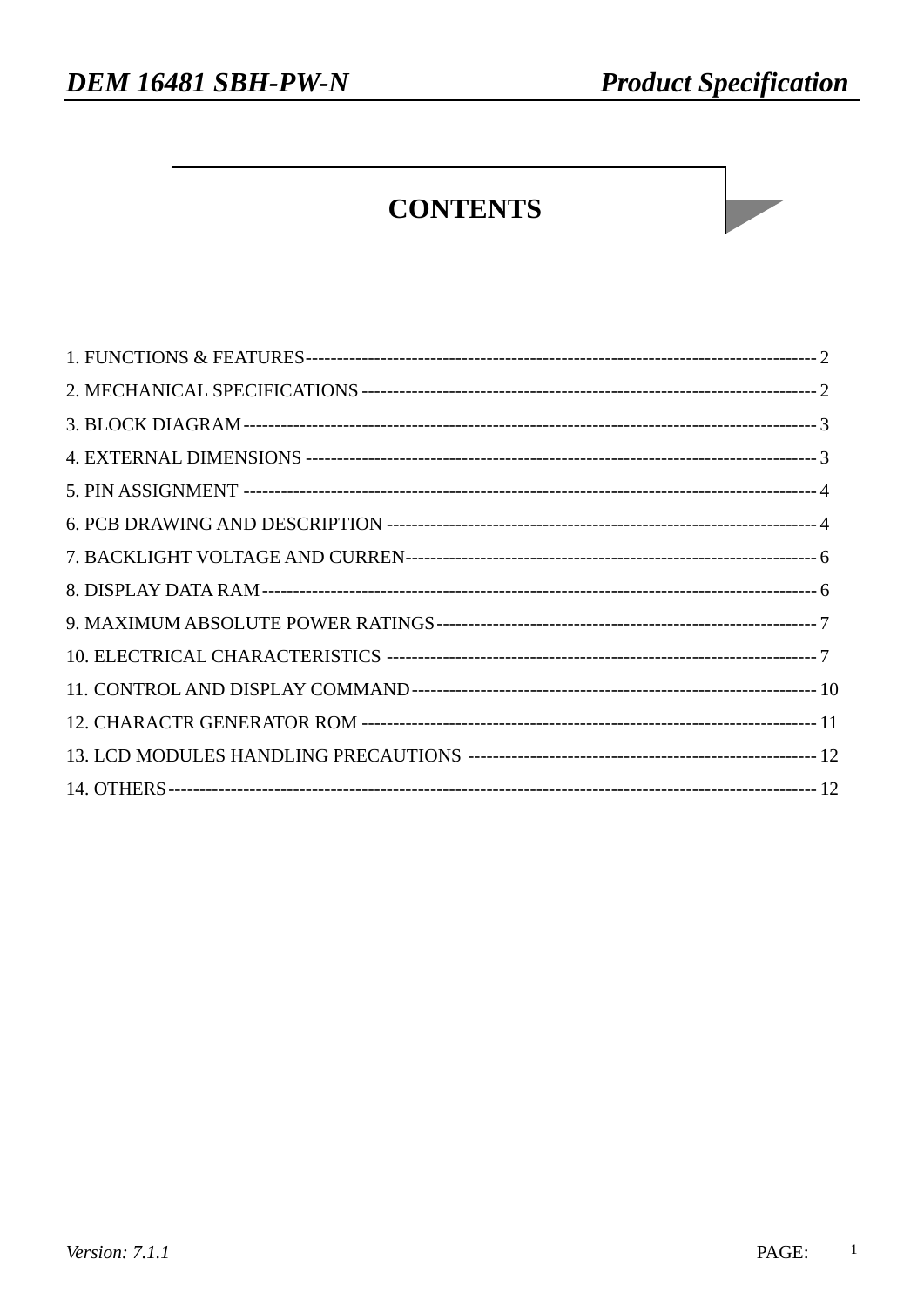# **CONTENTS**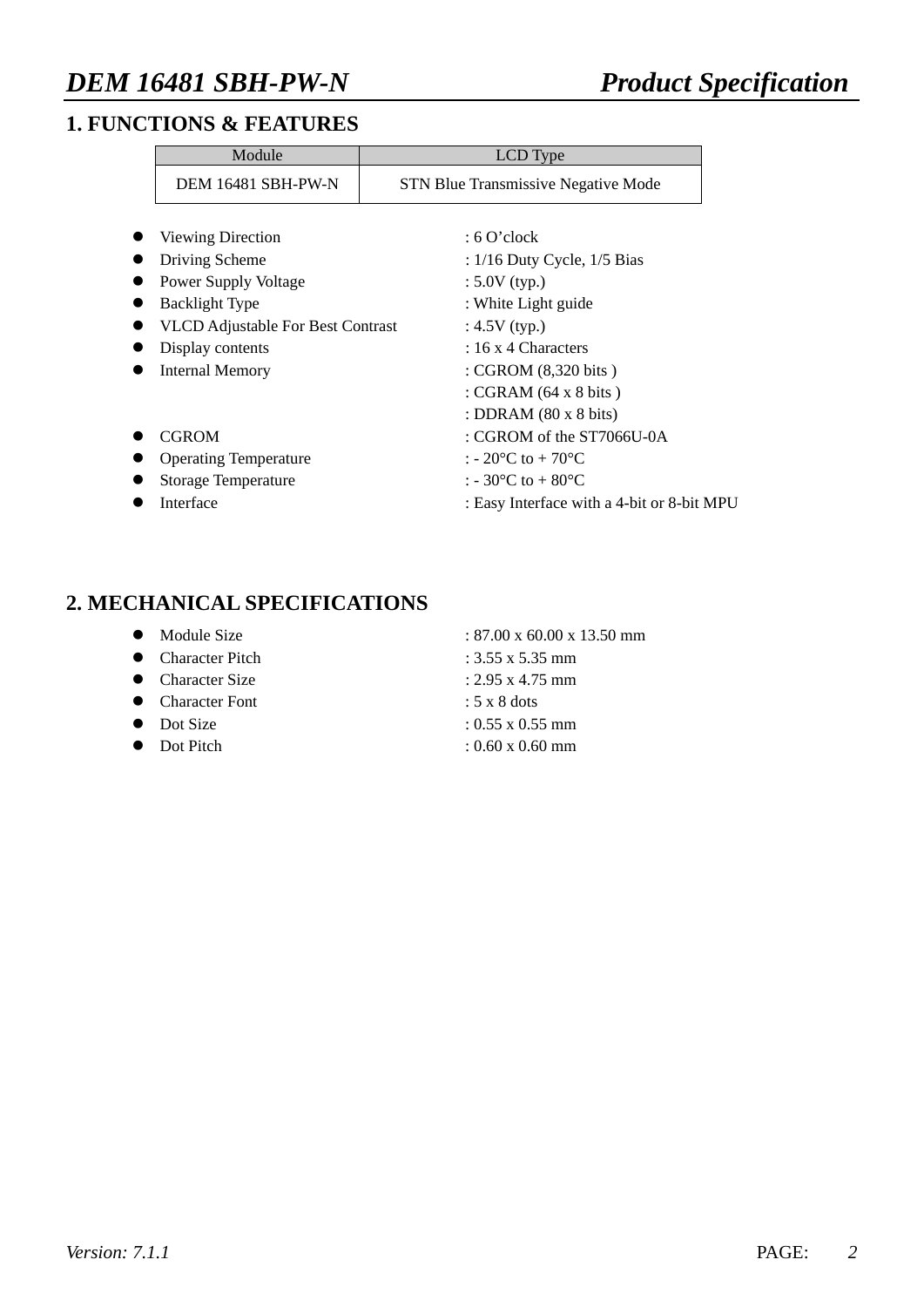### **1. FUNCTIONS & FEATURES**

| Module                                   | LCD Type                                     |
|------------------------------------------|----------------------------------------------|
| DEM 16481 SBH-PW-N                       | <b>STN Blue Transmissive Negative Mode</b>   |
| Viewing Direction                        | $: 6$ O'clock                                |
| Driving Scheme                           | : $1/16$ Duty Cycle, $1/5$ Bias              |
| Power Supply Voltage                     | $: 5.0V$ (typ.)                              |
| <b>Backlight Type</b>                    | : White Light guide                          |
| <b>VLCD</b> Adjustable For Best Contrast | : $4.5V$ (typ.)                              |
| Display contents                         | $: 16 \times 4$ Characters                   |
| <b>Internal Memory</b>                   | : CGROM (8,320 bits)                         |
|                                          | : CGRAM $(64 \times 8 \text{ bits})$         |
|                                          | : DDRAM $(80 \times 8 \text{ bits})$         |
| <b>CGROM</b>                             | $\therefore$ CGROM of the ST7066U-0A         |
| <b>Operating Temperature</b>             | : - 20 $^{\circ}$ C to + 70 $^{\circ}$ C     |
| Storage Temperature                      | : - 30 <sup>o</sup> C to + 80 <sup>o</sup> C |
| Interface                                | : Easy Interface with a 4-bit or 8-bit MPU   |

### **2. MECHANICAL SPECIFICATIONS**

- 
- $\bullet$  Character Pitch : 3.55 x 5.35 mm
- Character Size  $: 2.95 \times 4.75 \text{ mm}$
- Character Font  $: 5 \times 8$  dots
- 
- 

• Module Size : 87.00 x 60.00 x 13.50 mm

- 
- 
- 
- $\bullet$  Dot Size : 0.55 x 0.55 mm
- Dot Pitch : 0.60 x 0.60 mm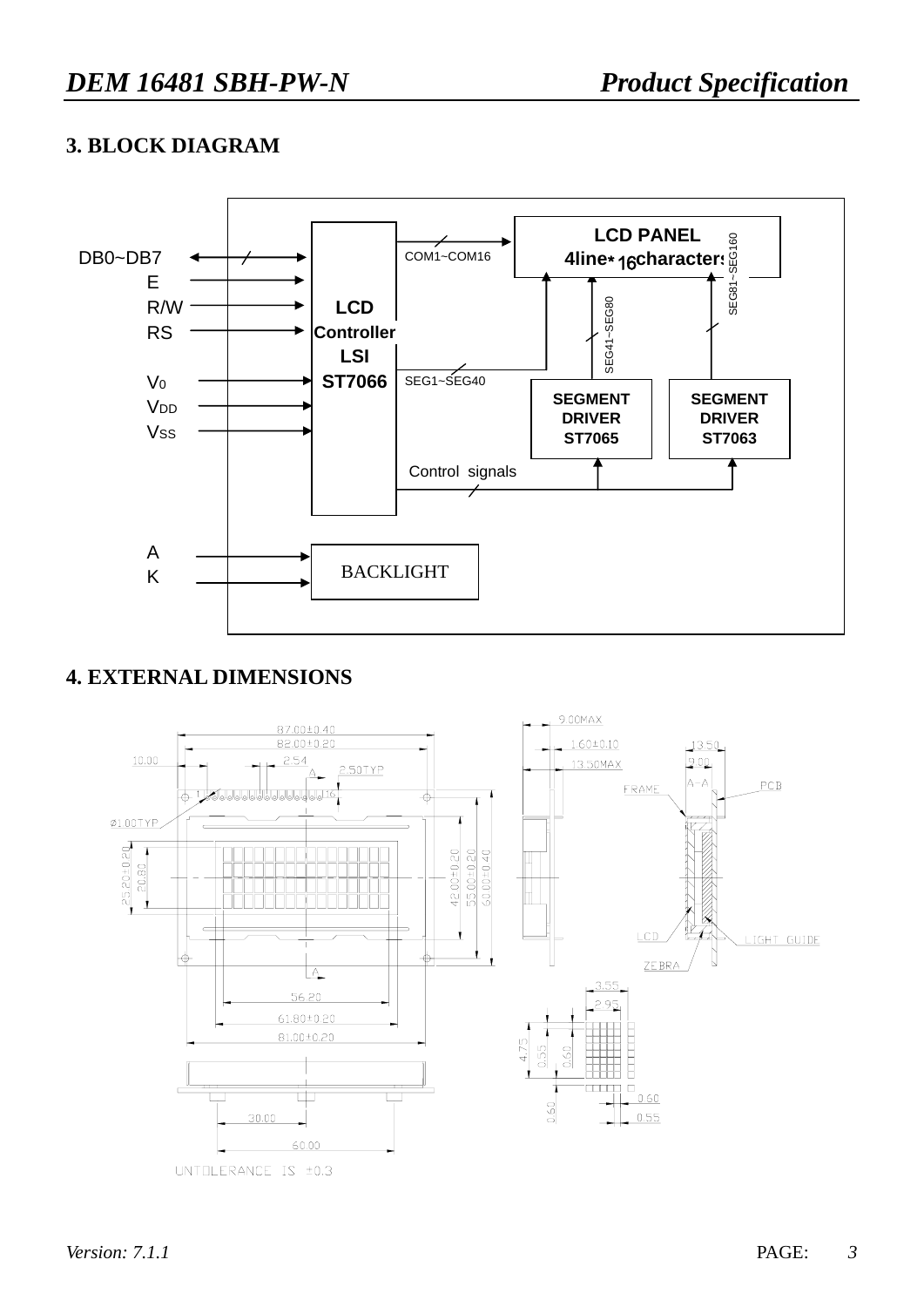### **3. BLOCK DIAGRAM**



## **4. EXTERNAL DIMENSIONS**

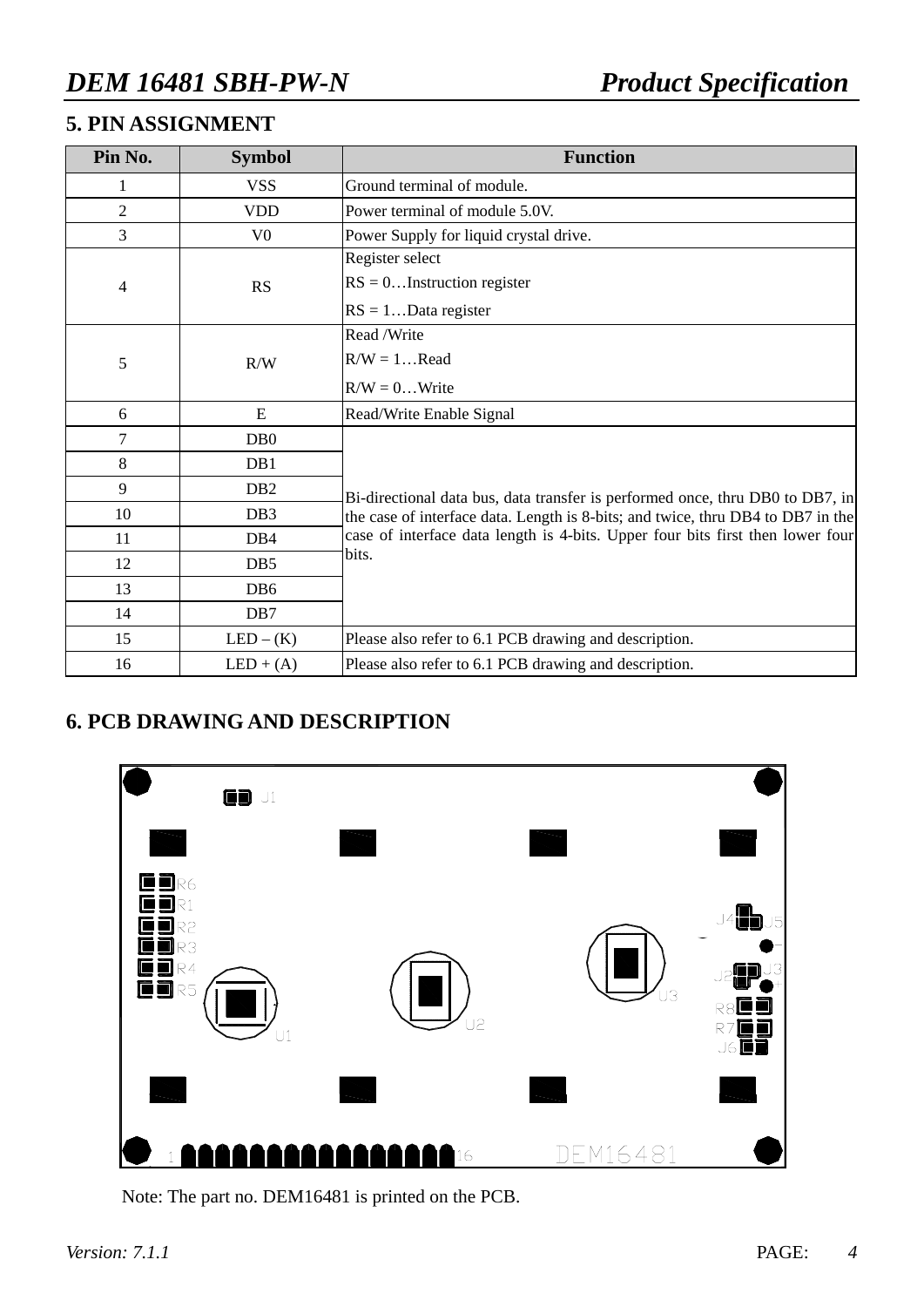# **5. PIN ASSIGNMENT**

| Pin No.        | <b>Symbol</b>    | <b>Function</b>                                                                 |
|----------------|------------------|---------------------------------------------------------------------------------|
|                | <b>VSS</b>       | Ground terminal of module.                                                      |
| $\overline{c}$ | <b>VDD</b>       | Power terminal of module 5.0V.                                                  |
| 3              | V <sub>0</sub>   | Power Supply for liquid crystal drive.                                          |
|                |                  | Register select                                                                 |
| 4              | RS               | $RS = 0$ Instruction register                                                   |
|                |                  | $RS = 1Data register$                                                           |
|                |                  | Read /Write                                                                     |
| 5              | R/W              | $R/W = 1$ Read                                                                  |
|                |                  | $R/W = 0$ Write                                                                 |
| 6              | E                | Read/Write Enable Signal                                                        |
| 7              | D <sub>B</sub> 0 |                                                                                 |
| 8              | D <sub>B</sub> 1 |                                                                                 |
| 9              | D <sub>B</sub> 2 | Bi-directional data bus, data transfer is performed once, thru DB0 to DB7, in   |
| 10             | D <sub>B</sub> 3 | the case of interface data. Length is 8-bits; and twice, thru DB4 to DB7 in the |
| 11             | D <sub>B</sub> 4 | case of interface data length is 4-bits. Upper four bits first then lower four  |
| 12             | DB <sub>5</sub>  | bits.                                                                           |
| 13             | D <sub>B6</sub>  |                                                                                 |
| 14             | D <sub>B</sub> 7 |                                                                                 |
| 15             | $LED - (K)$      | Please also refer to 6.1 PCB drawing and description.                           |
| 16             | $LED + (A)$      | Please also refer to 6.1 PCB drawing and description.                           |

## **6. PCB DRAWING AND DESCRIPTION**



Note: The part no. DEM16481 is printed on the PCB.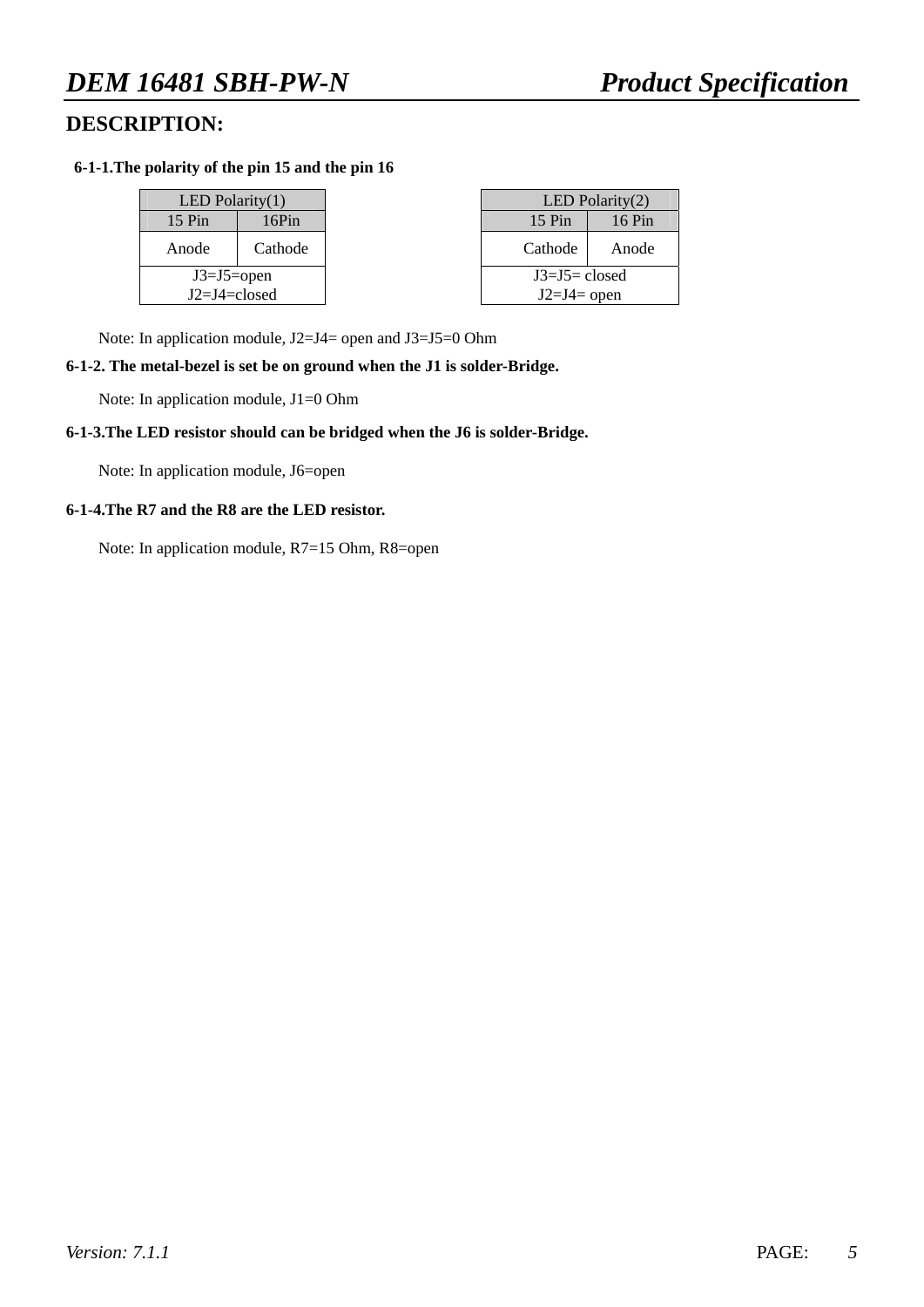### **DESCRIPTION:**

#### **6-1-1.The polarity of the pin 15 and the pin 16**

| LED Polarity $(1)$ |         |  |  |  |  |  |  |  |
|--------------------|---------|--|--|--|--|--|--|--|
| $15$ Pin<br>16Pin  |         |  |  |  |  |  |  |  |
| Anode              | Cathode |  |  |  |  |  |  |  |
| $J3=J5=open$       |         |  |  |  |  |  |  |  |
| $I2=I4=close$      |         |  |  |  |  |  |  |  |

| LED Polarity $(1)$  |         |                   | LED Polarity $(2)$ |
|---------------------|---------|-------------------|--------------------|
| $15 \,\mathrm{Pin}$ | 16Pin   | $15 \mathrm{Pin}$ | 16 Pin             |
| Anode               | Cathode | Cathode           | Anode              |
| $J3=J5=open$        |         | $J3=J5=closed$    |                    |
| $J2=J4=closed$      |         | $J2=J4=$ open     |                    |

Note: In application module, J2=J4= open and J3=J5=0 Ohm

#### **6-1-2. The metal-bezel is set be on ground when the J1 is solder-Bridge.**

Note: In application module, J1=0 Ohm

#### **6-1-3.The LED resistor should can be bridged when the J6 is solder-Bridge.**

Note: In application module, J6=open

#### **6-1-4.The R7 and the R8 are the LED resistor.**

Note: In application module, R7=15 Ohm, R8=open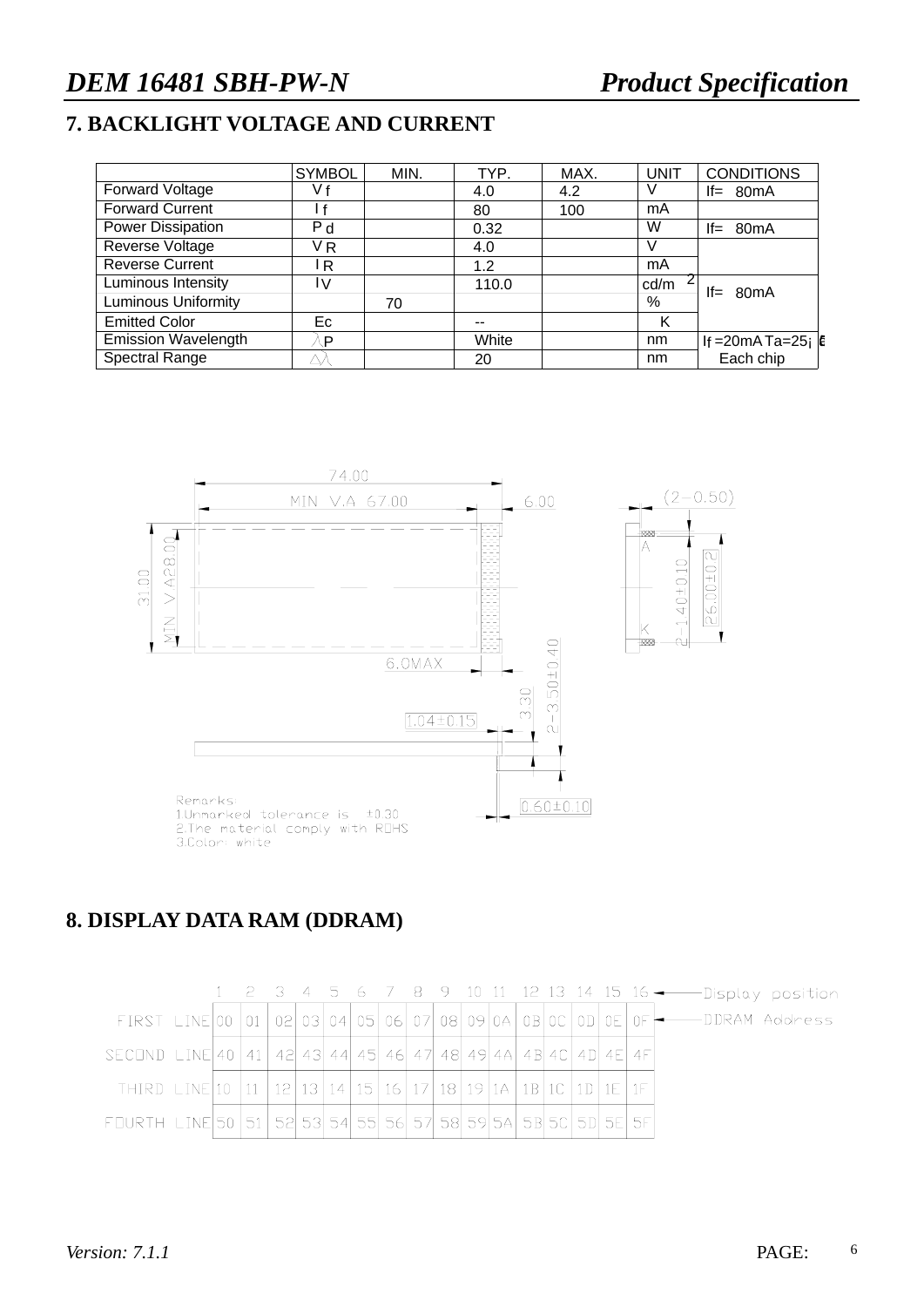# **7. BACKLIGHT VOLTAGE AND CURRENT**

|                            | <b>SYMBOL</b>  | MIN. | TYP.  | MAX. | <b>UNIT</b> | <b>CONDITIONS</b>      |
|----------------------------|----------------|------|-------|------|-------------|------------------------|
| Forward Voltage            | V f            |      | 4.0   | 4.2  |             | $If = 80mA$            |
| <b>Forward Current</b>     |                |      | 80    | 100  | mA          |                        |
| Power Dissipation          | P <sub>d</sub> |      | 0.32  |      | W           | $If = 80mA$            |
| Reverse Voltage            | VR             |      | 4.0   |      |             |                        |
| <b>Reverse Current</b>     | IR.            |      | 1.2   |      | mA          |                        |
| Luminous Intensity         | IV.            |      | 110.0 |      | cd/m        | $If = 80mA$            |
| <b>Luminous Uniformity</b> |                | 70   |       |      | %           |                        |
| <b>Emitted Color</b>       | Ec             |      | --    |      | κ           |                        |
| <b>Emission Wavelength</b> | P              |      | White |      | nm          | If = 20mA Ta=25; $ E $ |
| <b>Spectral Range</b>      |                |      | 20    |      | nm          | Each chip              |



### **8. DISPLAY DATA RAM (DDRAM)**

|                                                                                      |  |  |  |  |  |  |  |  | 1 2 3 4 5 6 7 8 9 10 11 12 13 14 15 16 - - - Display position                                          |
|--------------------------------------------------------------------------------------|--|--|--|--|--|--|--|--|--------------------------------------------------------------------------------------------------------|
|                                                                                      |  |  |  |  |  |  |  |  | FIRST LINE 00 01 02 03 04 05 06 07 08 09 04 0B 00 0 0 0 $\frac{1}{10}$ OF $\frac{1}{10}$ DDRAM Address |
| SECOND LINE 40   41   42   43   44   45   46   47   48   49   48   48   47   48   47 |  |  |  |  |  |  |  |  |                                                                                                        |
| THIRD LINE 10 11 12 13 14 15 16 17 18 19 14 18 10 10 1E 1F                           |  |  |  |  |  |  |  |  |                                                                                                        |
| FOURTH LINE 50 51 52 53 54 55 56 57 58 59 54 58 50 50 50 56 57                       |  |  |  |  |  |  |  |  |                                                                                                        |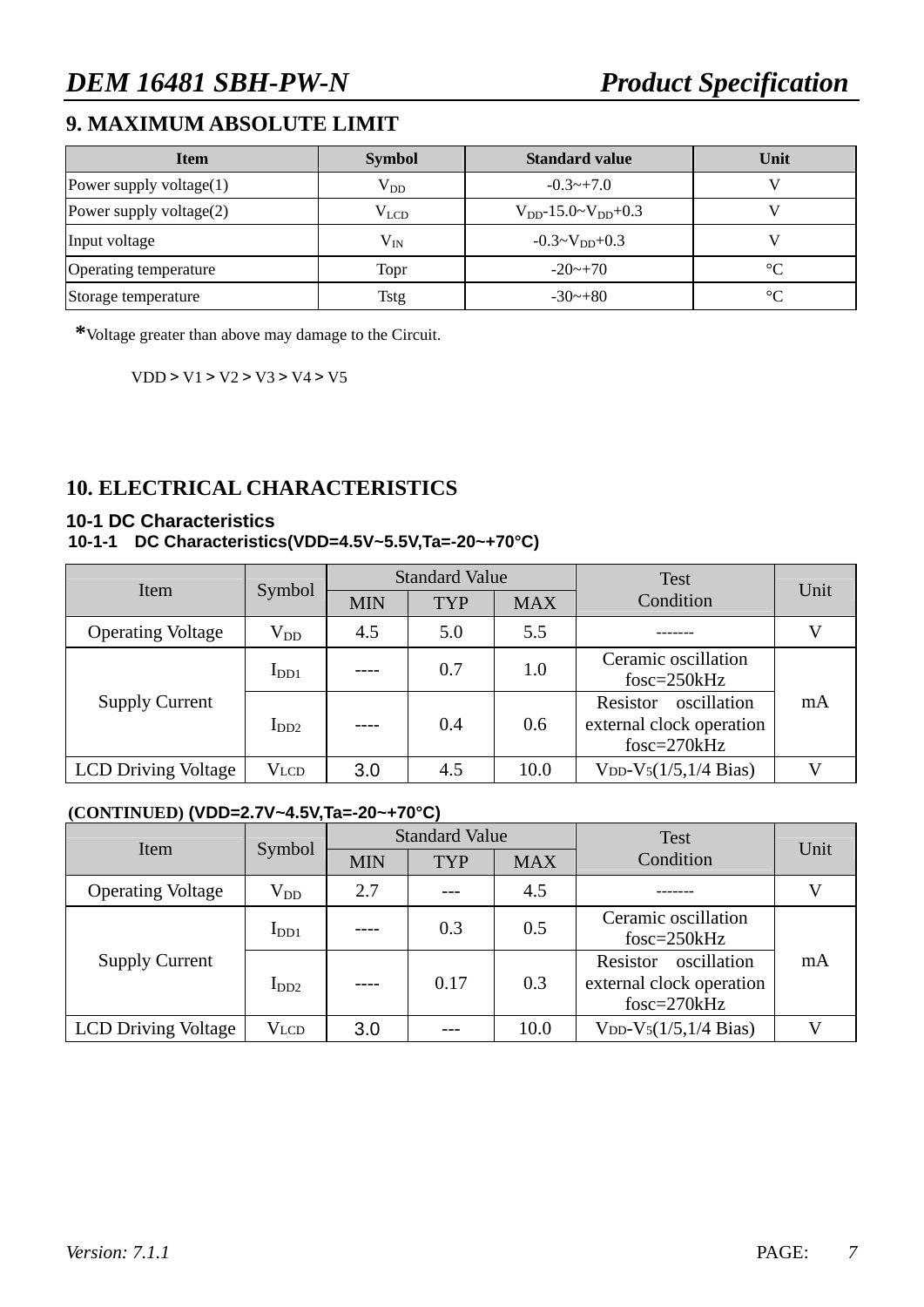## **9. MAXIMUM ABSOLUTE LIMIT**

| <b>Item</b>                | <b>Symbol</b> | <b>Standard value</b>         | Unit        |
|----------------------------|---------------|-------------------------------|-------------|
| Power supply voltage $(1)$ | $V_{DD}$      | $-0.3 \rightarrow +7.0$       |             |
| Power supply voltage(2)    | $\rm V_{LCD}$ | $V_{DD}$ -15.0~ $V_{DD}$ +0.3 |             |
| Input voltage              | $\rm V_{IN}$  | $-0.3 \sim V_{DD} + 0.3$      |             |
| Operating temperature      | Topr          | $-20$ ~+70                    | $^{\circ}C$ |
| Storage temperature        | <b>Tstg</b>   | $-30$ ~ $+80$                 | $^{\circ}C$ |

**\***Voltage greater than above may damage to the Circuit.

VDD > V1 > V2 > V3 > V4 > V5

# **10. ELECTRICAL CHARACTERISTICS**

#### **10-1 DC Characteristics**

#### **10-1-1 DC Characteristics(VDD=4.5V~5.5V,Ta=-20~+70°C)**

| Item                       | Symbol           |            | <b>Standard Value</b> |            | Test                                                               | Unit |
|----------------------------|------------------|------------|-----------------------|------------|--------------------------------------------------------------------|------|
|                            |                  | <b>MIN</b> | <b>TYP</b>            | <b>MAX</b> | Condition                                                          |      |
| <b>Operating Voltage</b>   | $\rm V_{DD}$     | 4.5        | 5.0                   | 5.5        |                                                                    |      |
|                            | I <sub>DD1</sub> |            | 0.7                   | 1.0        | Ceramic oscillation<br>$fosc = 250kHz$                             |      |
| <b>Supply Current</b>      | $I_{DD2}$        | $---$      | 0.4                   | 0.6        | oscillation<br>Resistor<br>external clock operation<br>fosc=270kHz | mA   |
| <b>LCD Driving Voltage</b> | Vlcd             | 3.0        | 4.5                   | 10.0       | $V_{DD} - V_5(1/5, 1/4 \text{ Bias})$                              |      |

#### **(CONTINUED) (VDD=2.7V~4.5V,Ta=-20~+70°C)**

| Item                       | Symbol       |            | <b>Standard Value</b> |            | <b>Test</b>                                                          | Unit |  |
|----------------------------|--------------|------------|-----------------------|------------|----------------------------------------------------------------------|------|--|
|                            |              | <b>MIN</b> | <b>TYP</b>            | <b>MAX</b> | Condition                                                            |      |  |
| <b>Operating Voltage</b>   | $\rm V_{DD}$ | 2.7        |                       | 4.5        |                                                                      |      |  |
|                            | $I_{DD1}$    |            | 0.3                   | 0.5        | Ceramic oscillation<br>$f$ osc=250 $k$ Hz                            |      |  |
| <b>Supply Current</b>      | $I_{DD2}$    | ----       | 0.17                  | 0.3        | oscillation<br>Resistor<br>external clock operation<br>$fosc=270kHz$ | mA   |  |
| <b>LCD Driving Voltage</b> | Vlcd         | 3.0        |                       | 10.0       | $V_{DD} - V_5(1/5, 1/4 \text{ Bias})$                                |      |  |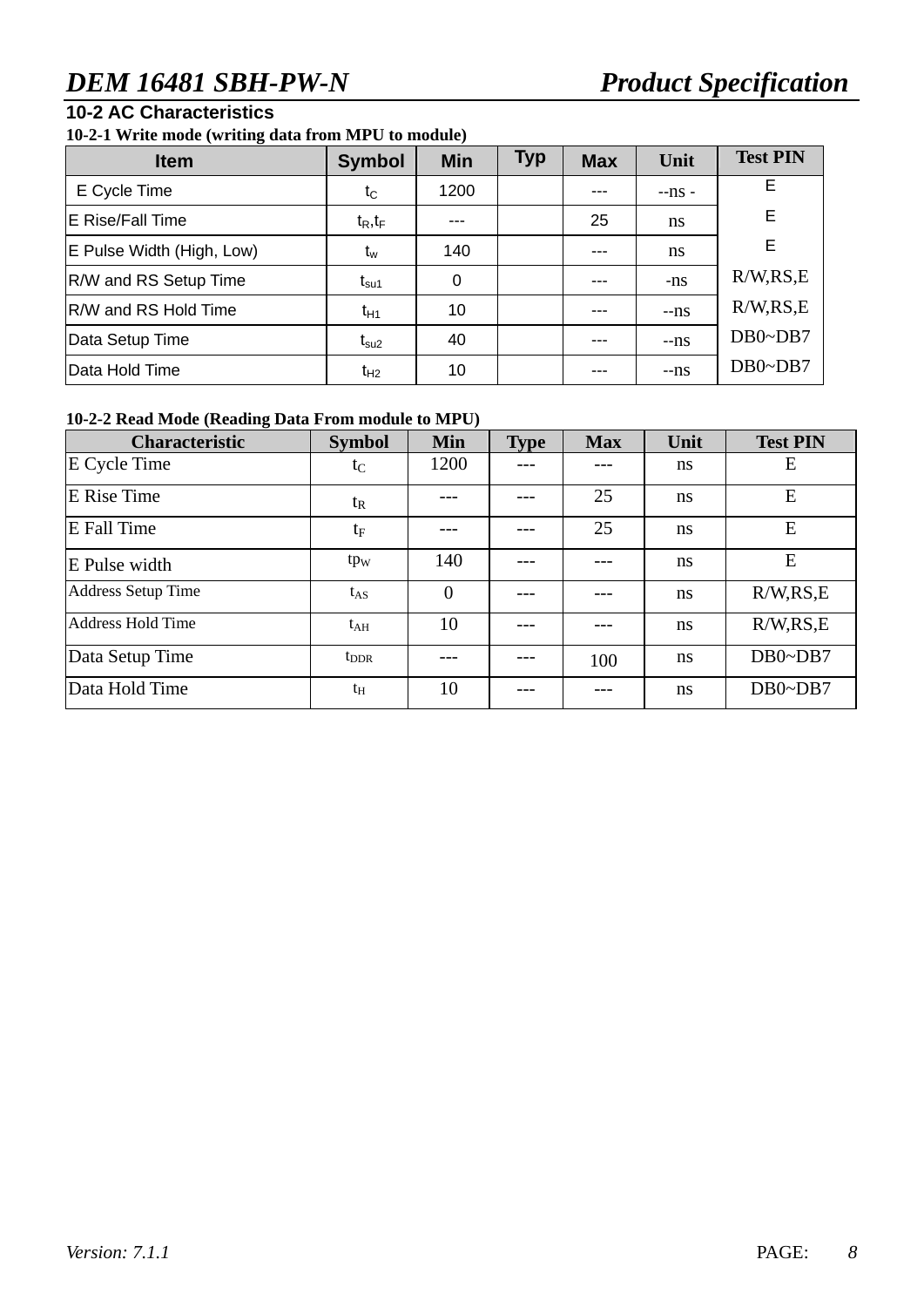### **10-2 AC Characteristics**

**10-2-1 Write mode (writing data from MPU to module)** 

| <b>Item</b>                  | <b>Symbol</b>    | <b>Min</b> | <b>Typ</b> | <b>Max</b> | Unit    | <b>Test PIN</b> |
|------------------------------|------------------|------------|------------|------------|---------|-----------------|
| E Cycle Time                 | $t_C$            | 1200       |            |            | $-ns$ - | E.              |
| E Rise/Fall Time             | $t_R, t_F$       | ---        |            | 25         | ns      | E               |
| E Pulse Width (High, Low)    | $t_w$            | 140        |            |            | ns      | E.              |
| <b>R/W and RS Setup Time</b> | t <sub>su1</sub> | 0          |            | ---        | -ns     | R/W, RS, E      |
| R/W and RS Hold Time         | $t_{H1}$         | 10         |            |            | $-ns$   | R/W, RS, E      |
| Data Setup Time              | $t_{\rm su2}$    | 40         |            | ---        | $-ns$   | $DB0\neg DB7$   |
| Data Hold Time               | $t_{H2}$         | 10         |            | $--$       | $-ns$   | $DB0\neg DB7$   |

#### **10-2-2 Read Mode (Reading Data From module to MPU)**

| <b>Characteristic</b>     | <b>Symbol</b>   | <b>Min</b>     | <b>Type</b> | <b>Max</b> | Unit          | <b>Test PIN</b> |  |
|---------------------------|-----------------|----------------|-------------|------------|---------------|-----------------|--|
| E Cycle Time              | $t_C$           | 1200           |             |            | ns            | E               |  |
| <b>E</b> Rise Time        | $t_{R}$         |                |             | 25         | <sub>ns</sub> | E               |  |
| <b>E</b> Fall Time        | $t_{\rm F}$     |                |             |            | ns            | E               |  |
| E Pulse width             | tp <sub>w</sub> | 140            |             |            | ns            | E               |  |
| <b>Address Setup Time</b> | $t_{AS}$        | $\overline{0}$ |             |            | ns            | R/W, RS, E      |  |
| <b>Address Hold Time</b>  | $t_{\rm AH}$    | 10             |             |            | ns            | R/W, RS, E      |  |
| Data Setup Time           | $t_{\rm DDR}$   |                |             | 100        | ns            | $DB0\neg DB7$   |  |
| Data Hold Time            | $t_{\rm H}$     | 10             |             |            | ns            | $DB0\neg DB7$   |  |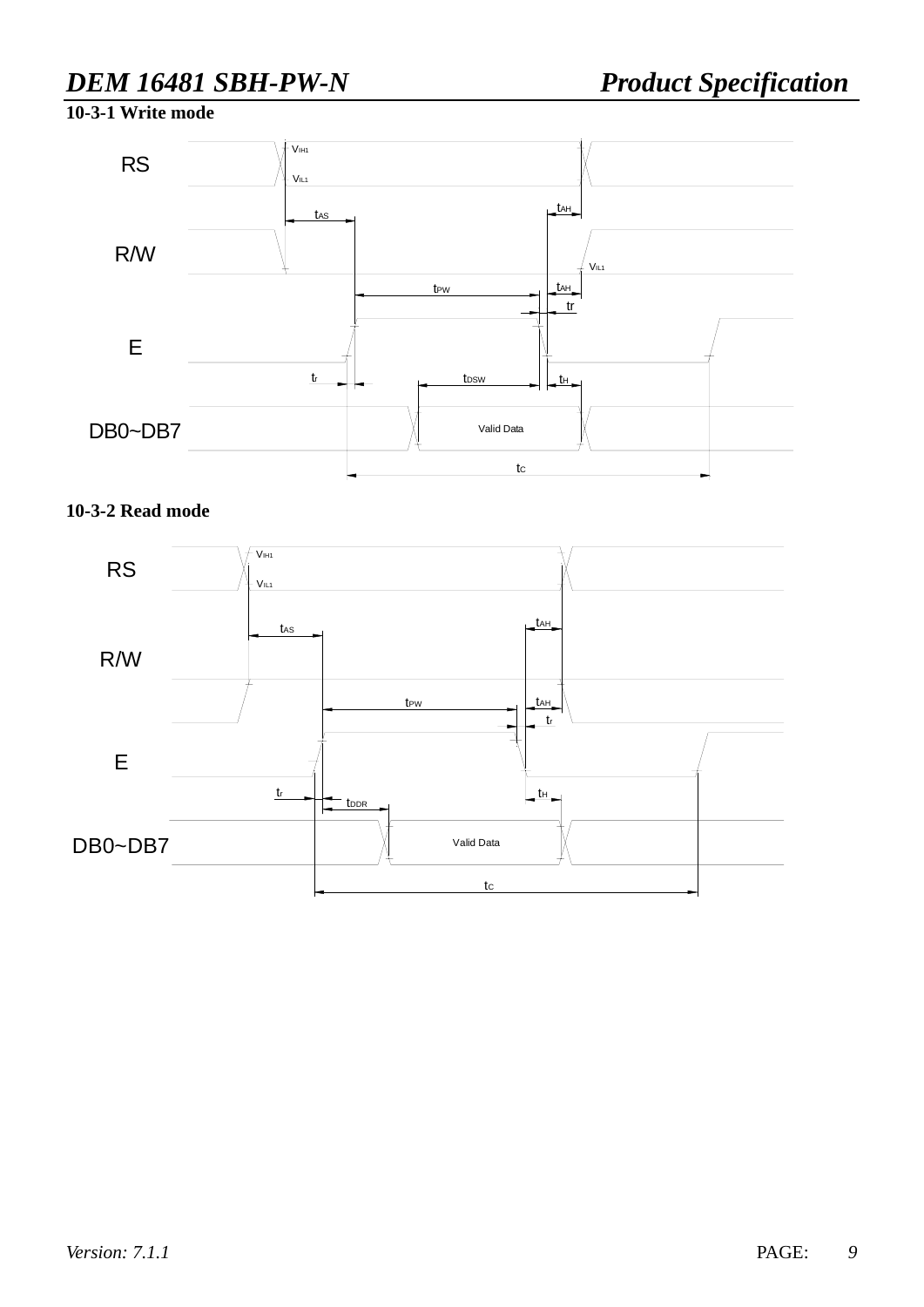**10-3-1 Write mode**



#### **10-3-2 Read mode**

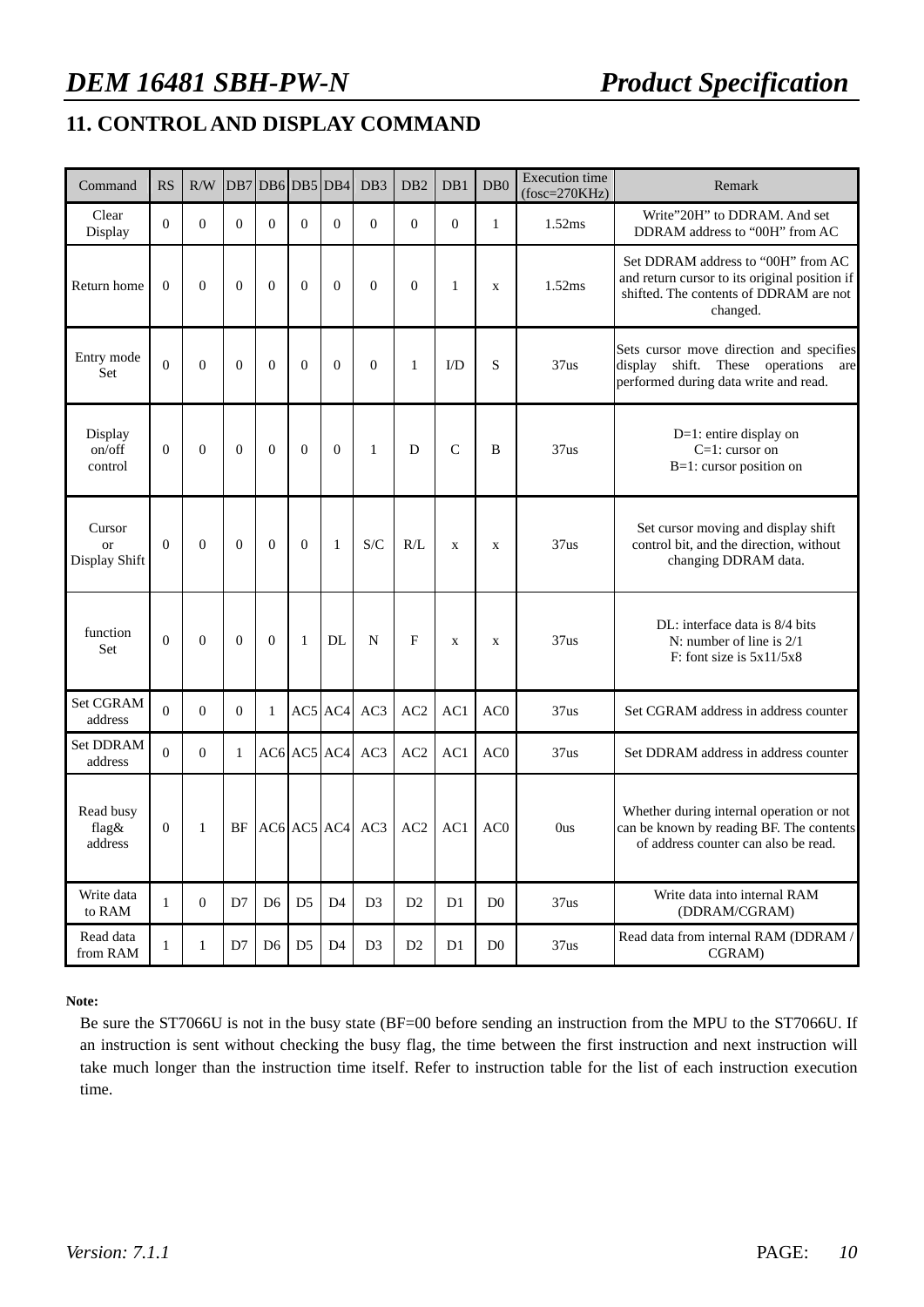# **11. CONTROL AND DISPLAY COMMAND**

| Command                              | <b>RS</b>    | R/W            | DB7            | DB6DB5DB4      |                |                   | DB <sub>3</sub> | DB <sub>2</sub> | DB1            | D <sub>B</sub> <sub>0</sub> | <b>Execution</b> time<br>$(fosc=270KHz)$ | Remark                                                                                                                                    |
|--------------------------------------|--------------|----------------|----------------|----------------|----------------|-------------------|-----------------|-----------------|----------------|-----------------------------|------------------------------------------|-------------------------------------------------------------------------------------------------------------------------------------------|
| Clear<br>Display                     | $\Omega$     | $\Omega$       | $\theta$       | $\Omega$       | $\Omega$       | $\theta$          | $\Omega$        | $\Omega$        | $\overline{0}$ | $\mathbf{1}$                | 1.52ms                                   | Write"20H" to DDRAM. And set<br>DDRAM address to "00H" from AC                                                                            |
| Return home                          | $\Omega$     | $\Omega$       | $\theta$       | $\Omega$       | $\Omega$       | $\theta$          | $\theta$        | $\Omega$        | $\mathbf{1}$   | $\mathbf x$                 | 1.52ms                                   | Set DDRAM address to "00H" from AC<br>and return cursor to its original position if<br>shifted. The contents of DDRAM are not<br>changed. |
| Entry mode<br>Set                    | $\theta$     | $\overline{0}$ | $\overline{0}$ | $\Omega$       | $\mathbf{0}$   | $\mathbf{0}$      | $\mathbf{0}$    | $\mathbf{1}$    | I/D            | S                           | 37us                                     | Sets cursor move direction and specifies<br>display shift. These operations<br>are<br>performed during data write and read.               |
| Display<br>on/off<br>control         | $\theta$     | $\theta$       | $\theta$       | $\theta$       | $\theta$       | $\theta$          | $\mathbf{1}$    | D               | $\mathsf{C}$   | B                           | 37us                                     | $D=1$ : entire display on<br>$C=1$ : cursor on<br>B=1: cursor position on                                                                 |
| Cursor<br><b>or</b><br>Display Shift | $\Omega$     | $\Omega$       | $\overline{0}$ | $\Omega$       | $\Omega$       | 1                 | S/C             | R/L             | $\mathbf X$    | $\mathbf X$                 | 37us                                     | Set cursor moving and display shift<br>control bit, and the direction, without<br>changing DDRAM data.                                    |
| function<br><b>Set</b>               | $\theta$     | $\theta$       | $\theta$       | $\theta$       | 1              | DL                | $\mathbf N$     | F               | $\mathbf x$    | $\mathbf x$                 | 37us                                     | DL: interface data is 8/4 bits<br>N: number of line is $2/1$<br>$F:$ font size is $5x11/5x8$                                              |
| <b>Set CGRAM</b><br>address          | $\Omega$     | $\Omega$       | $\theta$       | $\mathbf{1}$   |                | AC5 AC4           | AC3             | AC2             | AC1            | AC0                         | 37us                                     | Set CGRAM address in address counter                                                                                                      |
| <b>Set DDRAM</b><br>address          | $\Omega$     | $\Omega$       | $\mathbf{1}$   |                |                | $AC6$ $AC5$ $AC4$ | AC3             | AC2             | AC1            | AC0                         | 37us                                     | Set DDRAM address in address counter                                                                                                      |
| Read busy<br>flag&<br>address        | $\mathbf{0}$ | $\mathbf{1}$   | BF             |                |                | $AC6$ $AC5$ $AC4$ | AC3             | AC2             | AC1            | AC <sub>0</sub>             | Ous                                      | Whether during internal operation or not<br>can be known by reading BF. The contents<br>of address counter can also be read.              |
| Write data<br>to RAM                 | 1            | $\overline{0}$ | D7             | D <sub>6</sub> | D <sub>5</sub> | D <sub>4</sub>    | D <sub>3</sub>  | D2              | D <sub>1</sub> | D <sub>0</sub>              | 37us                                     | Write data into internal RAM<br>(DDRAM/CGRAM)                                                                                             |
| Read data<br>from RAM                | 1            | 1              | D7             | D <sub>6</sub> | D <sub>5</sub> | D <sub>4</sub>    | D <sub>3</sub>  | D2              | D <sub>1</sub> | D <sub>0</sub>              | 37us                                     | Read data from internal RAM (DDRAM /<br>CGRAM)                                                                                            |

**Note:** 

Be sure the ST7066U is not in the busy state (BF=00 before sending an instruction from the MPU to the ST7066U. If an instruction is sent without checking the busy flag, the time between the first instruction and next instruction will take much longer than the instruction time itself. Refer to instruction table for the list of each instruction execution time.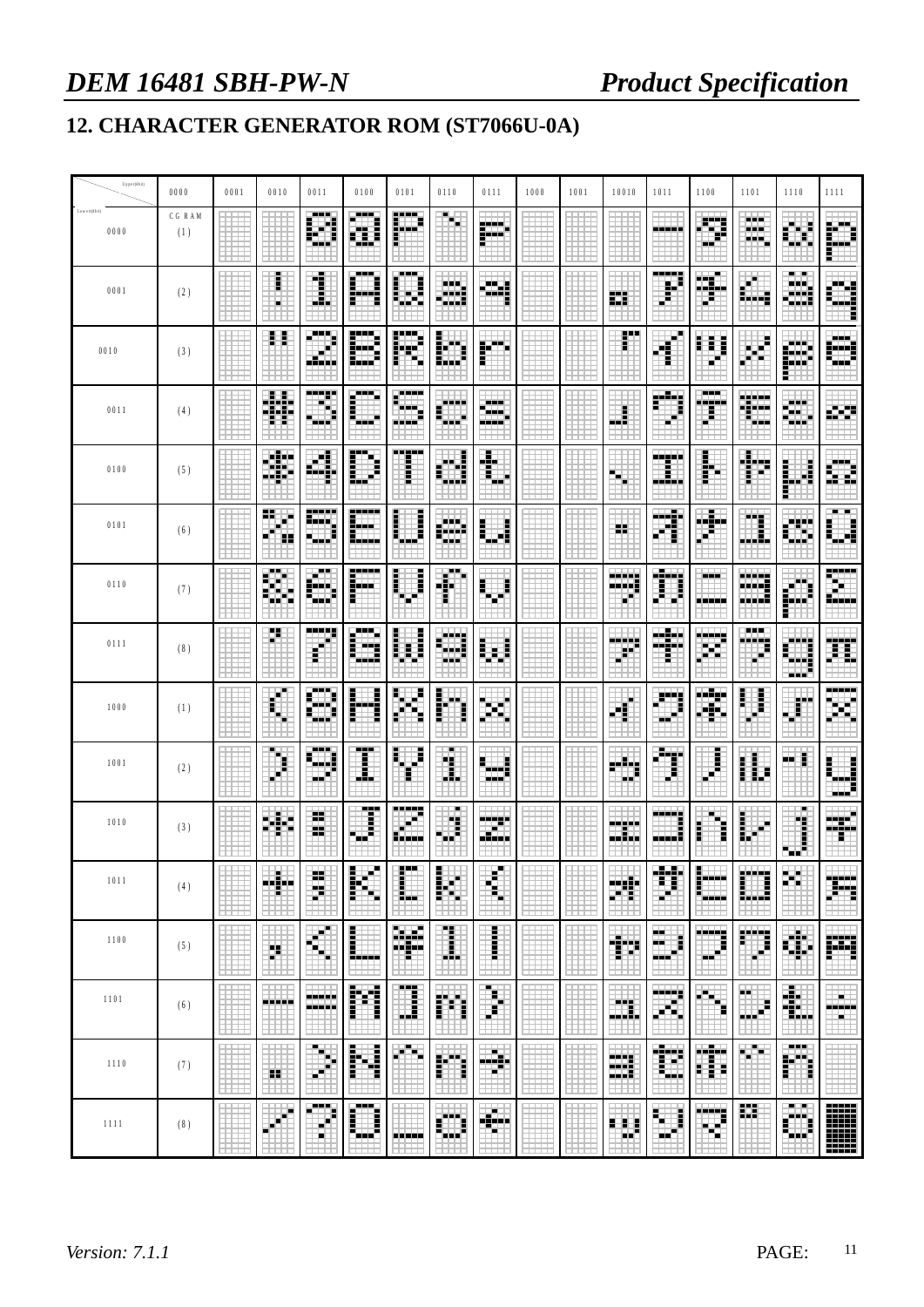# **12. CHARACTER GENERATOR ROM (ST7066U-0A)**

| Upper(4bit)          | 0000         | 0001 | 0010     | 0011                     | 0100           | 0101                 | 0110                        | 0111                    | 1000 | 1001 | 10010              | 1011                    | 1100                   | 1101                     | 1110            | 1111                           |
|----------------------|--------------|------|----------|--------------------------|----------------|----------------------|-----------------------------|-------------------------|------|------|--------------------|-------------------------|------------------------|--------------------------|-----------------|--------------------------------|
| Low em(4bit)<br>0000 | CGRAM<br>(1) |      |          | 医胃炎                      | 医胃病<br>Î<br>H. | H                    | ↬                           | 膦                       |      |      |                    | -93                     | m                      | ---<br>a a a<br><u>.</u> |                 |                                |
| 0001                 | (2)          |      | i        | É                        | i              | ---<br>Ē<br>ы<br>۳   | ---<br>雦                    | 38                      |      |      | 距                  | ----<br>H               | المنداد<br>-- - -<br>₱ | ۰<br>ila alta            | ---<br>₩        |                                |
| 0010                 | (3)          |      | ξŞ,      | 医鼻炎                      | E<br>₩         | F<br>a.              | E                           | 鬬                       |      |      | F.                 | $\bar{d}^p$             | E,<br>Ē                | E<br>н                   | HH.             | 医胃炎<br>- - -<br>щF             |
| 0011                 | (4)          |      | Ħ        | <br>- -                  | i<br>a in      | ----<br>---          | ----                        | an a<br>a a a c<br>---- |      |      | H                  | Ħ                       | <br>والزابا            | 龖                        | <br>н.<br>فتي   | E.                             |
| 0100                 | (5)          |      | W        | п<br>нī                  | E              | -----<br>Ē           | Ē<br>m.                     | $\mathbf{F}$            |      |      | н                  | -----                   | F                      | 畫<br>₽                   | I               |                                |
| 0101                 | (6)          |      | 89.<br>Ħ | -----<br>فادات           | ,,,,,<br>Ħ     | į                    | 医胃炎<br>gaara<br><b>Side</b> | H<br>- -                |      |      | 8                  | Ŧ                       |                        | Ħ<br>₩                   | H               | <b>BULLER</b><br>H             |
| 0110                 | (7)          |      | Ø,       | <b>FIL</b><br>in.        | E              | i<br>ł               | 審<br>Ŧ                      | i<br>∯                  |      |      | ш<br>œ.            | Ħ                       | - - -<br>---           | <b>MANE</b><br>Ē<br>---  |                 | -----<br>۳.<br>berbakan dan ke |
| 0111                 | (8)          |      | Ŧ.       | ----<br>Ē                | i<br>H         | 匷                    | H<br>an a                   | i<br>H                  |      |      | ere e<br>頩         | an San<br><b>BEELD</b>  | .<br>ш                 | ---<br>m<br>F.           | ---             | 龖                              |
| 1000                 | (1)          |      | ш<br>H   | <b>BOOK</b><br>н.        | ŀ<br>i         | Ŧ                    | Ē                           | 脚<br>H                  |      |      | Ë                  | ₩                       |                        | ₽                        | F               | -----                          |
| 1001                 | (2)          |      | m,       | <b>Links</b><br>--<br>-- | ---<br>I       | E                    | ш<br>۳                      | Ē<br>a ata<br>ki sini   |      |      | FM.<br>ш           | Ħ                       | i                      | ï<br>İ<br>E              | ă<br>           | Ē<br>---                       |
| 1010                 | (3)          |      | M.       | н<br>æ                   | Ï              | <b>Free</b><br>Saaba | ш<br>Ħ                      | -----<br>93             |      |      | -----<br>22 J      | ▦                       | н                      | E                        | п<br>ľ<br>₩     | 88.                            |
| 1011                 | (4)          |      | ♣        | ij                       | ŀ<br>×         | E                    | 膦                           | H                       |      |      | ᄩ                  | Ħ                       | Î<br>----              | į<br>H                   | п<br>H.         | 躎                              |
| 1100                 | (5)          |      | m        | m                        | İ<br>---       | 賱                    | I                           | l                       |      |      | m                  | шu<br>Đ<br>ы.           | m                      | 鬬                        | H.              | 蹦                              |
| 1101                 | (6)          |      | -----    | -----<br>المتعادلة       | ľ<br>đ         | <br>₽                | n,                          | T.                      |      |      | ш<br>Ē             | <b>TERRE</b><br>×<br>a. | н<br>w                 | <br>Ë                    | 嘛               | н<br>-----<br>a.               |
| 1110                 | (7)          |      | 88       | m,<br>€<br>п             | F<br>ij        | A.                   | m                           | ∰                       |      |      | 雛                  | E                       | المتراب<br>퓕<br>B      | 哪                        | <br>m           |                                |
| 1111                 | (8)          |      |          | ---                      | ---<br>i<br>Ē  |                      |                             | 躤                       |      |      | Ĩ,<br>Ξ<br>н<br>-- | E<br>Ĩ.<br>н            | m<br>۳                 | 瞴                        | <b>THE</b><br>蹦 |                                |